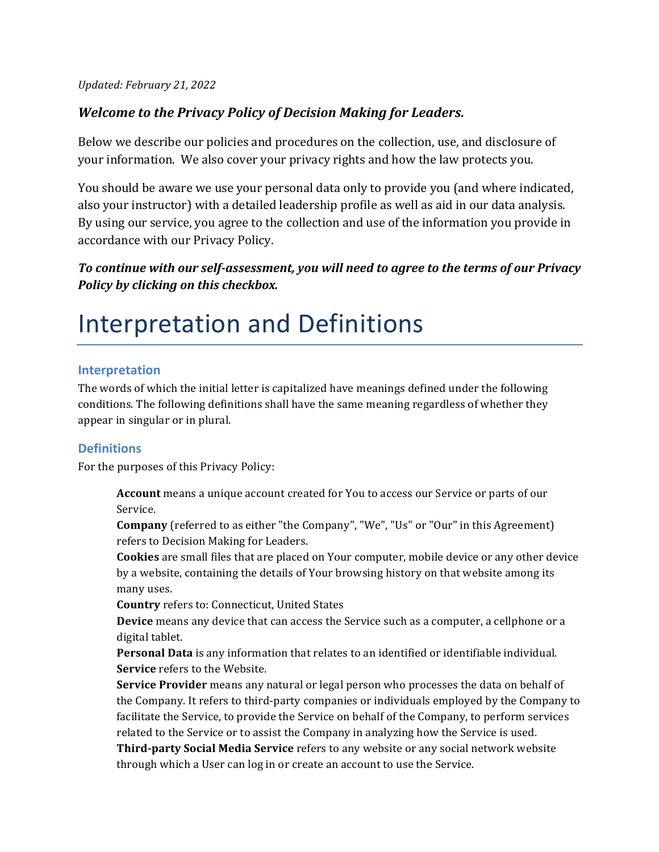*Updated: February 21, 2022*

# *Welcome to the Privacy Policy of Decision Making for Leaders.*

Below we describe our policies and procedures on the collection, use, and disclosure of your information. We also cover your privacy rights and how the law protects you.

You should be aware we use your personal data only to provide you (and where indicated, also your instructor) with a detailed leadership profile as well as aid in our data analysis. By using our service, you agree to the collection and use of the information you provide in accordance with our Privacy Policy.

To continue with our self-assessment, you will need to agree to the terms of our Privacy *Policy by clicking on this checkbox.* 

# Interpretation and Definitions

## **Interpretation**

The words of which the initial letter is capitalized have meanings defined under the following conditions. The following definitions shall have the same meaning regardless of whether they appear in singular or in plural.

## **Definitions**

For the purposes of this Privacy Policy:

**Account** means a unique account created for You to access our Service or parts of our Service.

**Company** (referred to as either "the Company", "We", "Us" or "Our" in this Agreement) refers to Decision Making for Leaders.

**Cookies** are small files that are placed on Your computer, mobile device or any other device by a website, containing the details of Your browsing history on that website among its many uses.

**Country** refers to: Connecticut, United States

**Device** means any device that can access the Service such as a computer, a cellphone or a digital tablet.

**Personal Data** is any information that relates to an identified or identifiable individual. **Service** refers to the Website.

**Service Provider** means any natural or legal person who processes the data on behalf of the Company. It refers to third-party companies or individuals employed by the Company to facilitate the Service, to provide the Service on behalf of the Company, to perform services related to the Service or to assist the Company in analyzing how the Service is used. **Third-party Social Media Service** refers to any website or any social network website through which a User can log in or create an account to use the Service.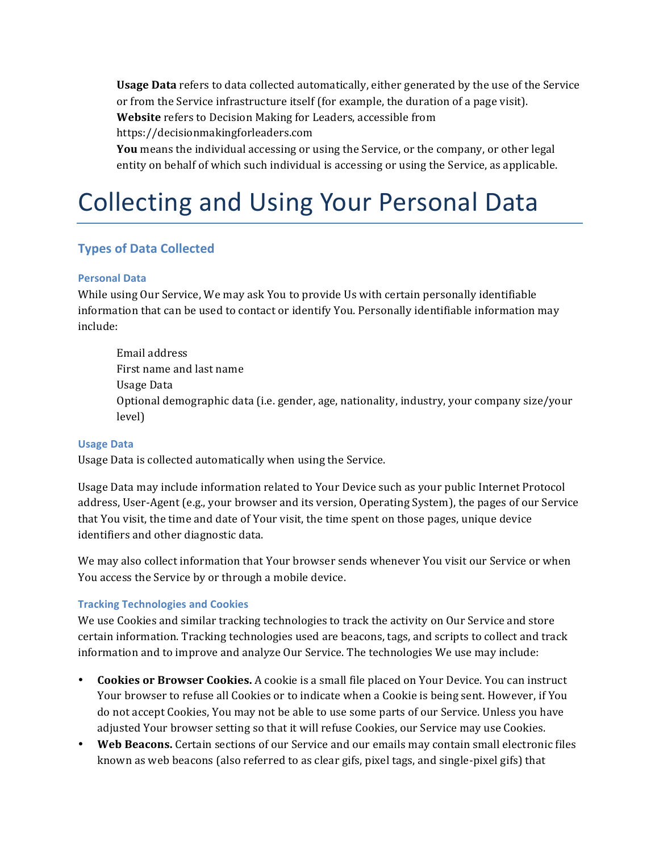**Usage Data** refers to data collected automatically, either generated by the use of the Service or from the Service infrastructure itself (for example, the duration of a page visit). **Website** refers to Decision Making for Leaders, accessible from https://decisionmakingforleaders.com

**You** means the individual accessing or using the Service, or the company, or other legal entity on behalf of which such individual is accessing or using the Service, as applicable.

# **Collecting and Using Your Personal Data**

# **Types of Data Collected**

### **Personal Data**

While using Our Service, We may ask You to provide Us with certain personally identifiable information that can be used to contact or identify You. Personally identifiable information may include:

Email address First name and last name Usage Data Optional demographic data (i.e. gender, age, nationality, industry, your company size/your level)

#### **Usage Data**

Usage Data is collected automatically when using the Service.

Usage Data may include information related to Your Device such as your public Internet Protocol address, User-Agent (e.g., your browser and its version, Operating System), the pages of our Service that You visit, the time and date of Your visit, the time spent on those pages, unique device identifiers and other diagnostic data.

We may also collect information that Your browser sends whenever You visit our Service or when You access the Service by or through a mobile device.

#### **Tracking Technologies and Cookies**

We use Cookies and similar tracking technologies to track the activity on Our Service and store certain information. Tracking technologies used are beacons, tags, and scripts to collect and track information and to improve and analyze Our Service. The technologies We use may include:

- **Cookies or Browser Cookies.** A cookie is a small file placed on Your Device. You can instruct Your browser to refuse all Cookies or to indicate when a Cookie is being sent. However, if You do not accept Cookies, You may not be able to use some parts of our Service. Unless you have adjusted Your browser setting so that it will refuse Cookies, our Service may use Cookies.
- Web Beacons. Certain sections of our Service and our emails may contain small electronic files known as web beacons (also referred to as clear gifs, pixel tags, and single-pixel gifs) that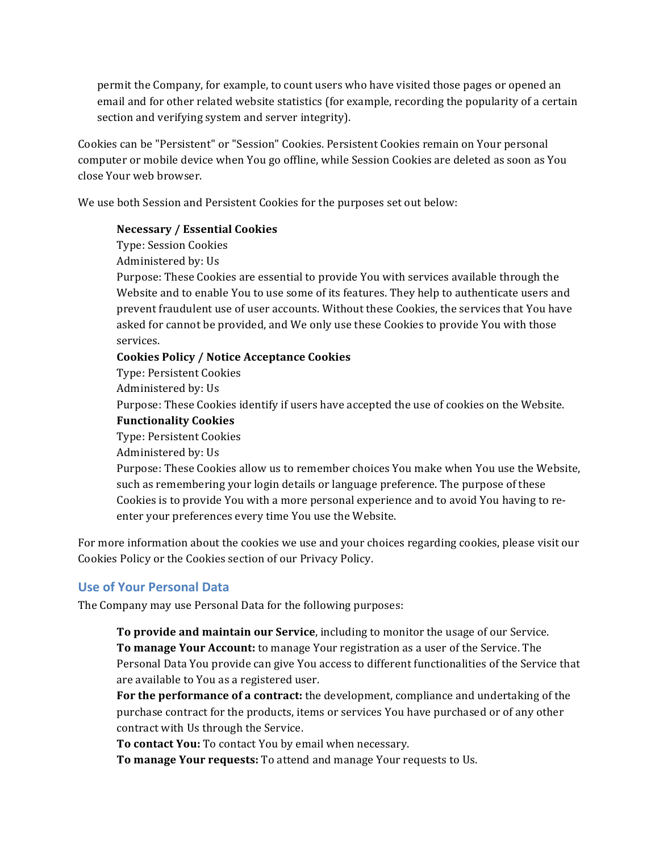permit the Company, for example, to count users who have visited those pages or opened an email and for other related website statistics (for example, recording the popularity of a certain section and verifying system and server integrity).

Cookies can be "Persistent" or "Session" Cookies. Persistent Cookies remain on Your personal computer or mobile device when You go offline, while Session Cookies are deleted as soon as You close Your web browser.

We use both Session and Persistent Cookies for the purposes set out below:

#### **Necessary / Essential Cookies**

Type: Session Cookies

Administered by: Us

Purpose: These Cookies are essential to provide You with services available through the Website and to enable You to use some of its features. They help to authenticate users and prevent fraudulent use of user accounts. Without these Cookies, the services that You have asked for cannot be provided, and We only use these Cookies to provide You with those services.

#### **Cookies Policy / Notice Acceptance Cookies**

Type: Persistent Cookies

Administered by: Us

Purpose: These Cookies identify if users have accepted the use of cookies on the Website.

#### **Functionality Cookies**

Type: Persistent Cookies

Administered by: Us

Purpose: These Cookies allow us to remember choices You make when You use the Website, such as remembering your login details or language preference. The purpose of these Cookies is to provide You with a more personal experience and to avoid You having to reenter your preferences every time You use the Website.

For more information about the cookies we use and your choices regarding cookies, please visit our Cookies Policy or the Cookies section of our Privacy Policy.

#### **Use of Your Personal Data**

The Company may use Personal Data for the following purposes:

**To provide and maintain our Service**, including to monitor the usage of our Service. **To manage Your Account:** to manage Your registration as a user of the Service. The Personal Data You provide can give You access to different functionalities of the Service that are available to You as a registered user.

**For the performance of a contract:** the development, compliance and undertaking of the purchase contract for the products, items or services You have purchased or of any other contract with Us through the Service.

**To contact You:** To contact You by email when necessary.

To manage Your requests: To attend and manage Your requests to Us.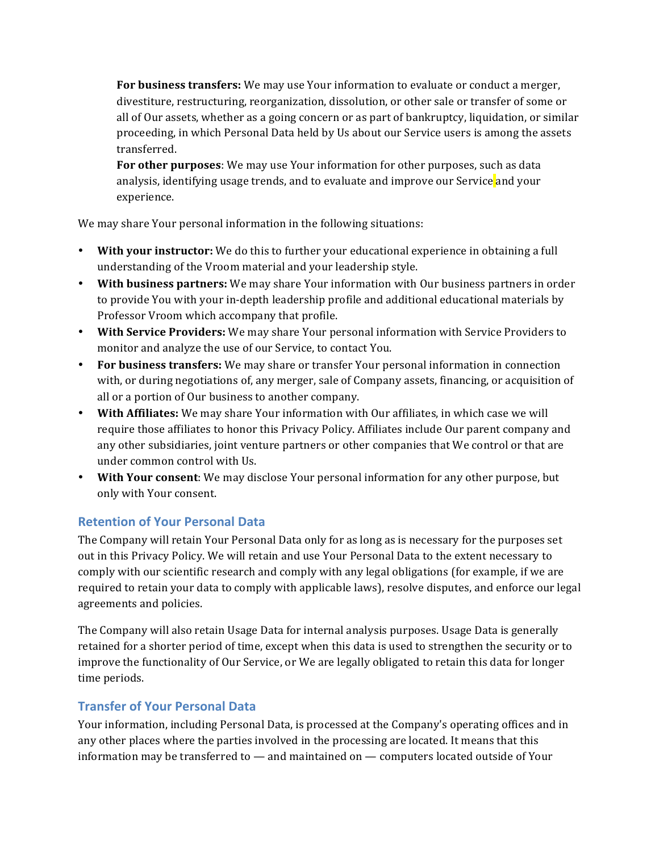**For business transfers:** We may use Your information to evaluate or conduct a merger, divestiture, restructuring, reorganization, dissolution, or other sale or transfer of some or all of Our assets, whether as a going concern or as part of bankruptcy, liquidation, or similar proceeding, in which Personal Data held by Us about our Service users is among the assets transferred.

**For other purposes**: We may use Your information for other purposes, such as data analysis, identifying usage trends, and to evaluate and improve our Service and your experience.

We may share Your personal information in the following situations:

- With your instructor: We do this to further your educational experience in obtaining a full understanding of the Vroom material and your leadership style.
- With business partners: We may share Your information with Our business partners in order to provide You with your in-depth leadership profile and additional educational materials by Professor Vroom which accompany that profile.
- With Service Providers: We may share Your personal information with Service Providers to monitor and analyze the use of our Service, to contact You.
- For business transfers: We may share or transfer Your personal information in connection with, or during negotiations of, any merger, sale of Company assets, financing, or acquisition of all or a portion of Our business to another company.
- With Affiliates: We may share Your information with Our affiliates, in which case we will require those affiliates to honor this Privacy Policy. Affiliates include Our parent company and any other subsidiaries, joint venture partners or other companies that We control or that are under common control with Us.
- With Your consent: We may disclose Your personal information for any other purpose, but only with Your consent.

## **Retention of Your Personal Data**

The Company will retain Your Personal Data only for as long as is necessary for the purposes set out in this Privacy Policy. We will retain and use Your Personal Data to the extent necessary to comply with our scientific research and comply with any legal obligations (for example, if we are required to retain your data to comply with applicable laws), resolve disputes, and enforce our legal agreements and policies.

The Company will also retain Usage Data for internal analysis purposes. Usage Data is generally retained for a shorter period of time, except when this data is used to strengthen the security or to improve the functionality of Our Service, or We are legally obligated to retain this data for longer time periods.

# **Transfer of Your Personal Data**

Your information, including Personal Data, is processed at the Company's operating offices and in any other places where the parties involved in the processing are located. It means that this information may be transferred to  $-$  and maintained on  $-$  computers located outside of Your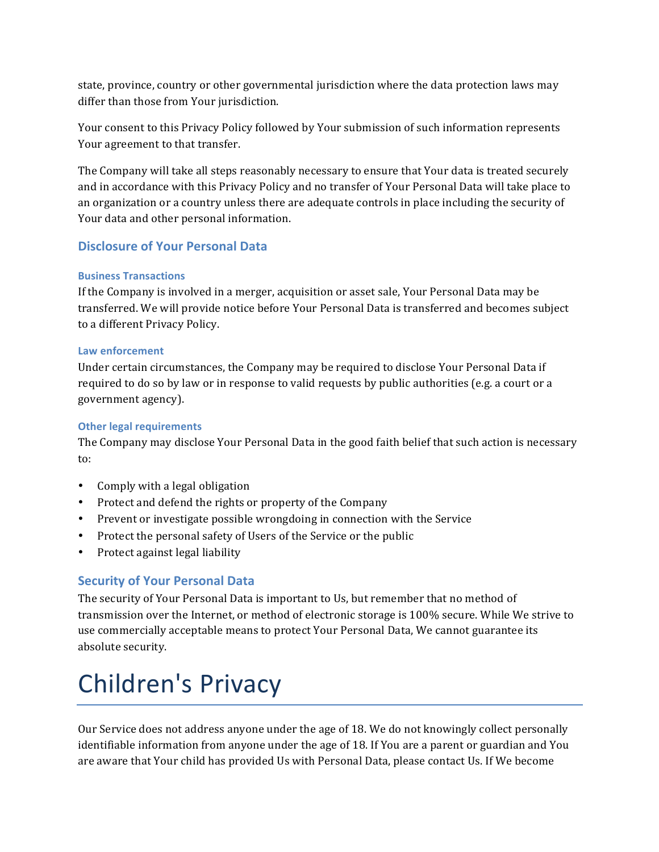state, province, country or other governmental jurisdiction where the data protection laws may differ than those from Your jurisdiction.

Your consent to this Privacy Policy followed by Your submission of such information represents Your agreement to that transfer.

The Company will take all steps reasonably necessary to ensure that Your data is treated securely and in accordance with this Privacy Policy and no transfer of Your Personal Data will take place to an organization or a country unless there are adequate controls in place including the security of Your data and other personal information.

## **Disclosure of Your Personal Data**

#### **Business Transactions**

If the Company is involved in a merger, acquisition or asset sale, Your Personal Data may be transferred. We will provide notice before Your Personal Data is transferred and becomes subject to a different Privacy Policy.

#### **Law enforcement**

Under certain circumstances, the Company may be required to disclose Your Personal Data if required to do so by law or in response to valid requests by public authorities (e.g. a court or a government agency).

#### **Other legal requirements**

The Company may disclose Your Personal Data in the good faith belief that such action is necessary to:

- Comply with a legal obligation
- Protect and defend the rights or property of the Company
- Prevent or investigate possible wrongdoing in connection with the Service
- Protect the personal safety of Users of the Service or the public
- Protect against legal liability

## **Security of Your Personal Data**

The security of Your Personal Data is important to Us, but remember that no method of transmission over the Internet, or method of electronic storage is 100% secure. While We strive to use commercially acceptable means to protect Your Personal Data, We cannot guarantee its absolute security.

# Children's Privacy

Our Service does not address anyone under the age of 18. We do not knowingly collect personally identifiable information from anyone under the age of 18. If You are a parent or guardian and You are aware that Your child has provided Us with Personal Data, please contact Us. If We become